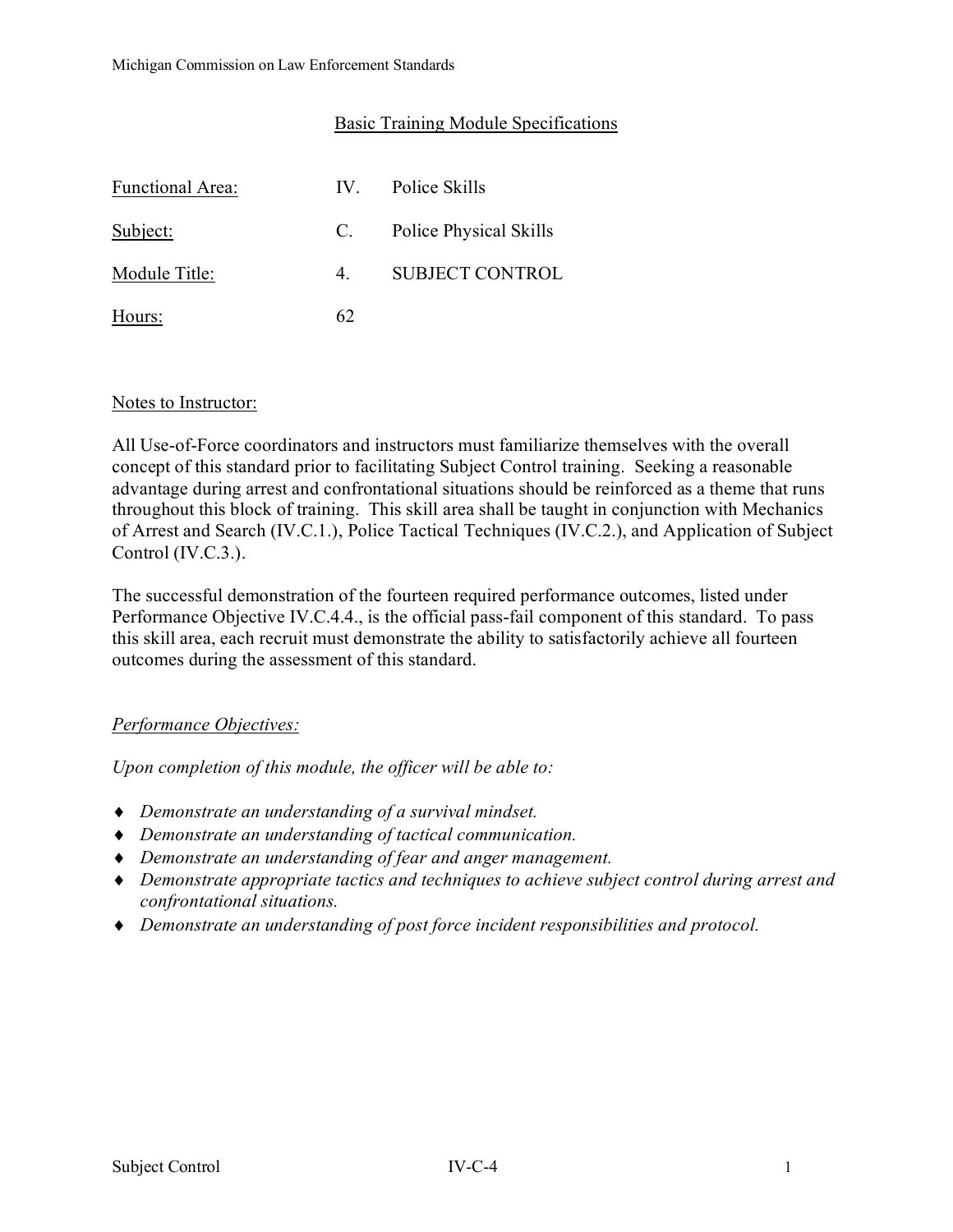## Basic Training Module Specifications

| <b>Functional Area:</b> | $IV_{-}$       | Police Skills          |
|-------------------------|----------------|------------------------|
| Subject:                | C.             | Police Physical Skills |
| Module Title:           | 4 <sup>1</sup> | <b>SUBJECT CONTROL</b> |
| Hours:                  | 62             |                        |

#### Notes to Instructor:

All Use-of-Force coordinators and instructors must familiarize themselves with the overall concept of this standard prior to facilitating Subject Control training. Seeking a reasonable advantage during arrest and confrontational situations should be reinforced as a theme that runs throughout this block of training. This skill area shall be taught in conjunction with Mechanics of Arrest and Search (IV.C.1.), Police Tactical Techniques (IV.C.2.), and Application of Subject Control (IV.C.3.).

The successful demonstration of the fourteen required performance outcomes, listed under Performance Objective IV.C.4.4., is the official pass-fail component of this standard. To pass this skill area, each recruit must demonstrate the ability to satisfactorily achieve all fourteen outcomes during the assessment of this standard.

# *Performance Objectives:*

*Upon completion of this module, the officer will be able to:*

- ♦ *Demonstrate an understanding of a survival mindset.*
- ♦ *Demonstrate an understanding of tactical communication.*
- ♦ *Demonstrate an understanding of fear and anger management.*
- ♦ *Demonstrate appropriate tactics and techniques to achieve subject control during arrest and confrontational situations.*
- ♦ *Demonstrate an understanding of post force incident responsibilities and protocol.*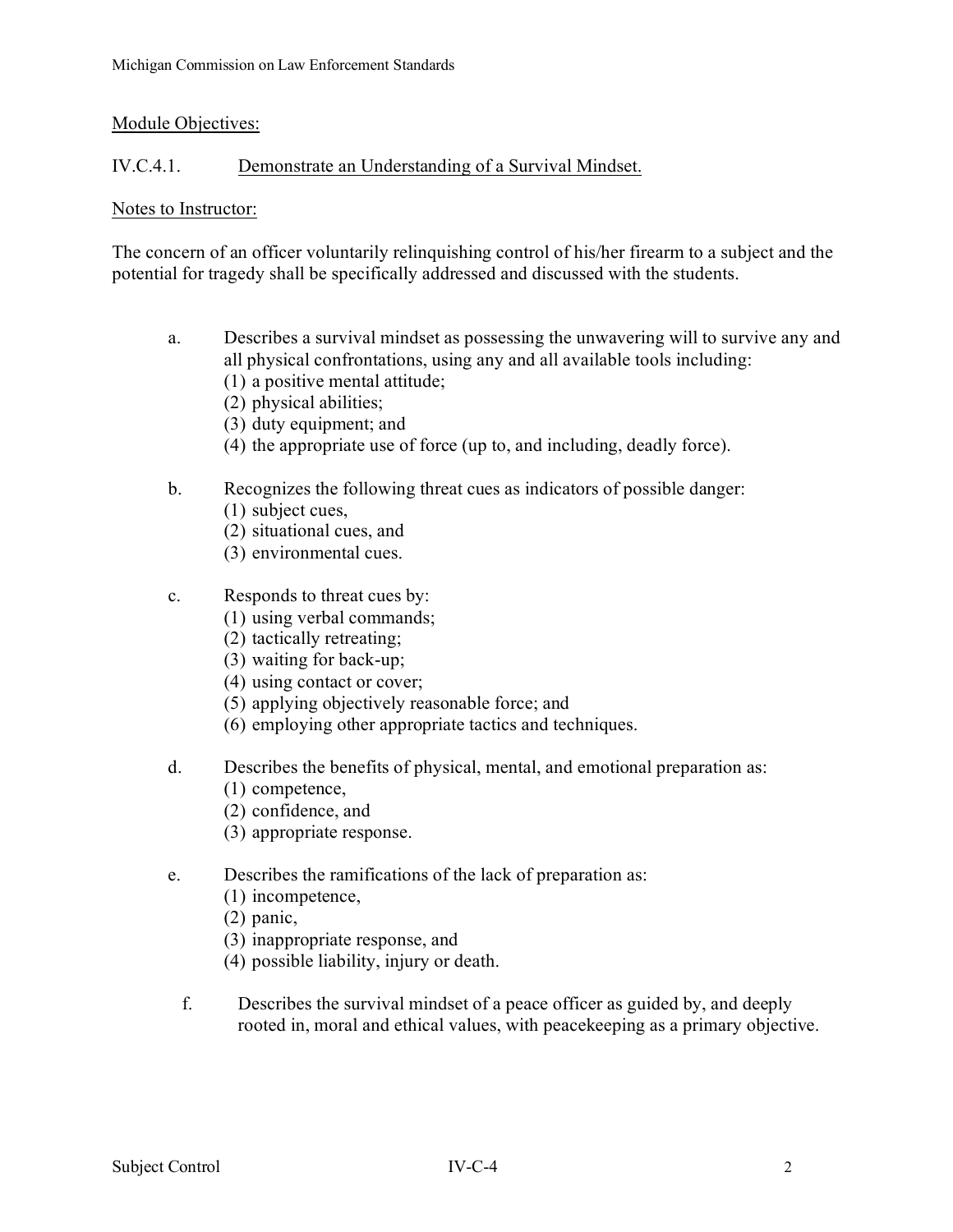### Module Objectives:

## IV.C.4.1. Demonstrate an Understanding of a Survival Mindset.

#### Notes to Instructor:

The concern of an officer voluntarily relinquishing control of his/her firearm to a subject and the potential for tragedy shall be specifically addressed and discussed with the students.

- a. Describes a survival mindset as possessing the unwavering will to survive any and all physical confrontations, using any and all available tools including:
	- (1) a positive mental attitude;
	- (2) physical abilities;
	- (3) duty equipment; and
	- (4) the appropriate use of force (up to, and including, deadly force).
- b. Recognizes the following threat cues as indicators of possible danger:
	- (1) subject cues,
	- (2) situational cues, and
	- (3) environmental cues.

#### c. Responds to threat cues by:

- (1) using verbal commands;
- (2) tactically retreating;
- (3) waiting for back-up;
- (4) using contact or cover;
- (5) applying objectively reasonable force; and
- (6) employing other appropriate tactics and techniques.
- d. Describes the benefits of physical, mental, and emotional preparation as:
	- (1) competence,
	- (2) confidence, and
	- (3) appropriate response.
- e. Describes the ramifications of the lack of preparation as:
	- (1) incompetence,
	- (2) panic,
	- (3) inappropriate response, and
	- (4) possible liability, injury or death.
	- f. Describes the survival mindset of a peace officer as guided by, and deeply rooted in, moral and ethical values, with peacekeeping as a primary objective.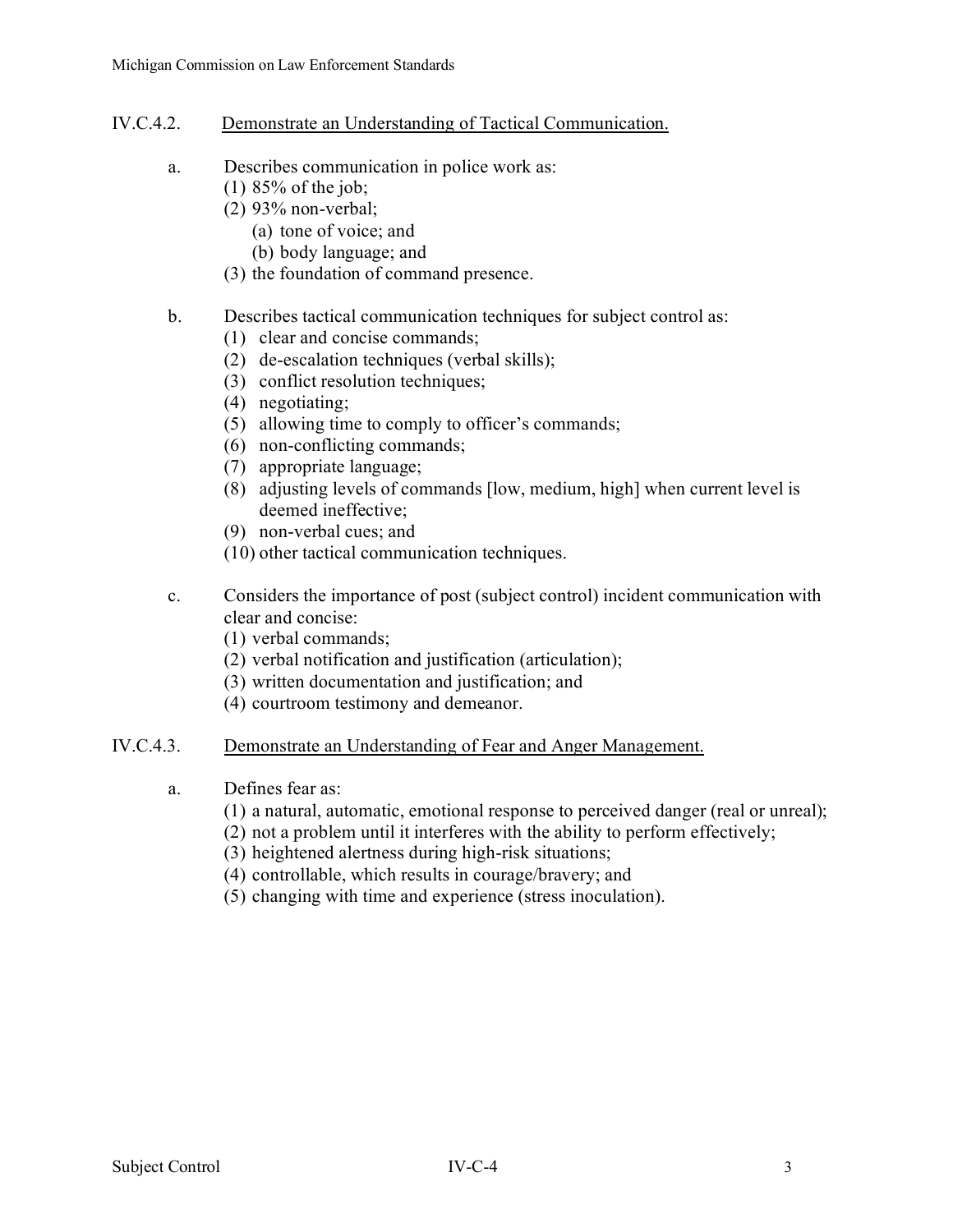- IV.C.4.2. Demonstrate an Understanding of Tactical Communication.
	- a. Describes communication in police work as:
		- (1) 85% of the job;
			- (2) 93% non-verbal;
				- (a) tone of voice; and
				- (b) body language; and
			- (3) the foundation of command presence.

### b. Describes tactical communication techniques for subject control as:

- (1) clear and concise commands;
- (2) de-escalation techniques (verbal skills);
- (3) conflict resolution techniques;
- (4) negotiating;
- (5) allowing time to comply to officer's commands;
- (6) non-conflicting commands;
- (7) appropriate language;
- (8) adjusting levels of commands [low, medium, high] when current level is deemed ineffective;
- (9) non-verbal cues; and
- (10) other tactical communication techniques.
- c. Considers the importance of post (subject control) incident communication with clear and concise:
	- (1) verbal commands;
	- (2) verbal notification and justification (articulation);
	- (3) written documentation and justification; and
	- (4) courtroom testimony and demeanor.

#### IV.C.4.3. Demonstrate an Understanding of Fear and Anger Management.

- a. Defines fear as:
	- (1) a natural, automatic, emotional response to perceived danger (real or unreal);
	- (2) not a problem until it interferes with the ability to perform effectively;
	- (3) heightened alertness during high-risk situations;
	- (4) controllable, which results in courage/bravery; and
	- (5) changing with time and experience (stress inoculation).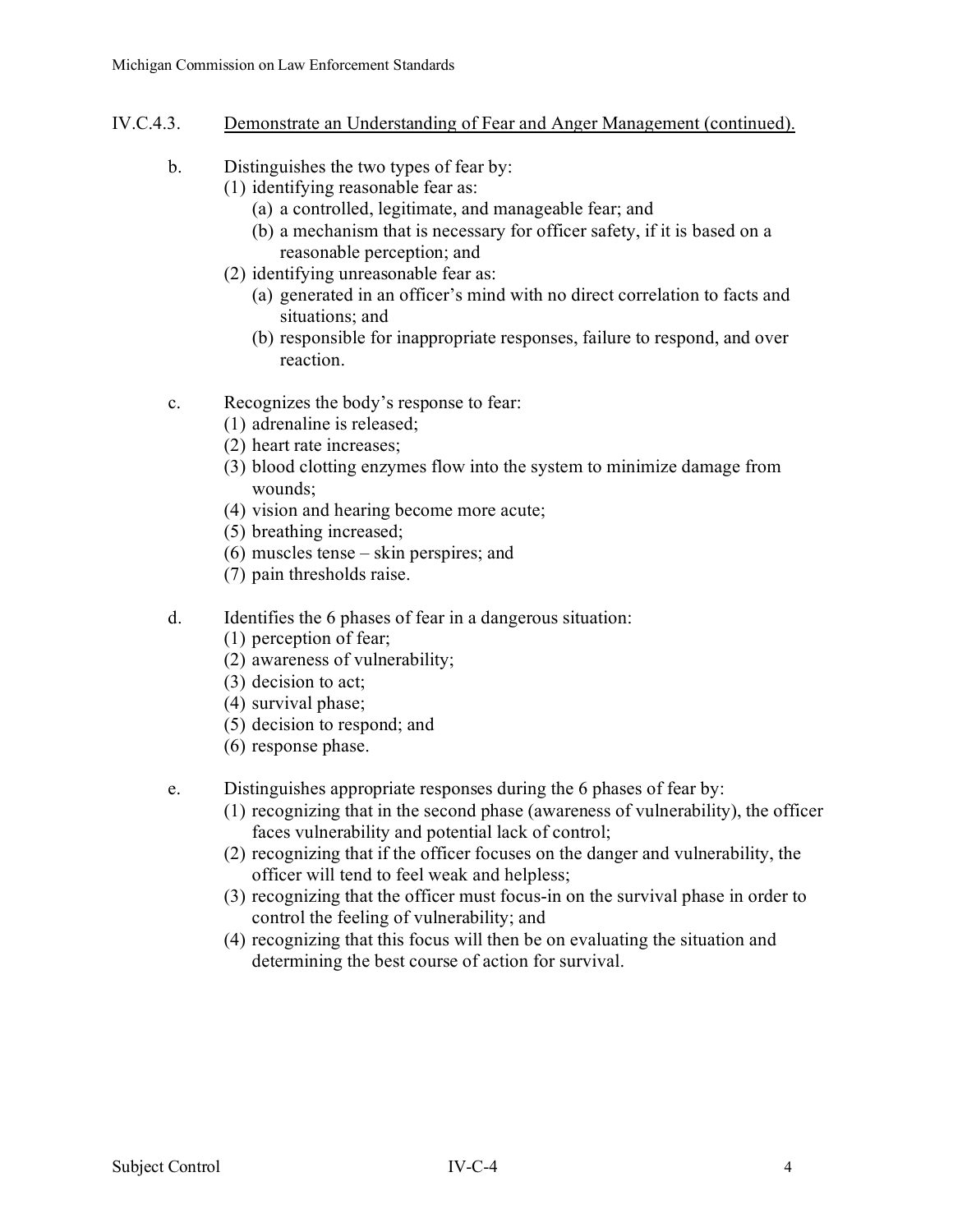- IV.C.4.3. Demonstrate an Understanding of Fear and Anger Management (continued).
	- b. Distinguishes the two types of fear by:
		- (1) identifying reasonable fear as:
			- (a) a controlled, legitimate, and manageable fear; and
			- (b) a mechanism that is necessary for officer safety, if it is based on a reasonable perception; and
		- (2) identifying unreasonable fear as:
			- (a) generated in an officer's mind with no direct correlation to facts and situations; and
			- (b) responsible for inappropriate responses, failure to respond, and over reaction.
	- c. Recognizes the body's response to fear:
		- (1) adrenaline is released;
		- (2) heart rate increases;
		- (3) blood clotting enzymes flow into the system to minimize damage from wounds;
		- (4) vision and hearing become more acute;
		- (5) breathing increased;
		- (6) muscles tense skin perspires; and
		- (7) pain thresholds raise.

# d. Identifies the 6 phases of fear in a dangerous situation:

- (1) perception of fear;
- (2) awareness of vulnerability;
- (3) decision to act;
- (4) survival phase;
- (5) decision to respond; and
- (6) response phase.
- e. Distinguishes appropriate responses during the 6 phases of fear by:
	- (1) recognizing that in the second phase (awareness of vulnerability), the officer faces vulnerability and potential lack of control;
	- (2) recognizing that if the officer focuses on the danger and vulnerability, the officer will tend to feel weak and helpless;
	- (3) recognizing that the officer must focus-in on the survival phase in order to control the feeling of vulnerability; and
	- (4) recognizing that this focus will then be on evaluating the situation and determining the best course of action for survival.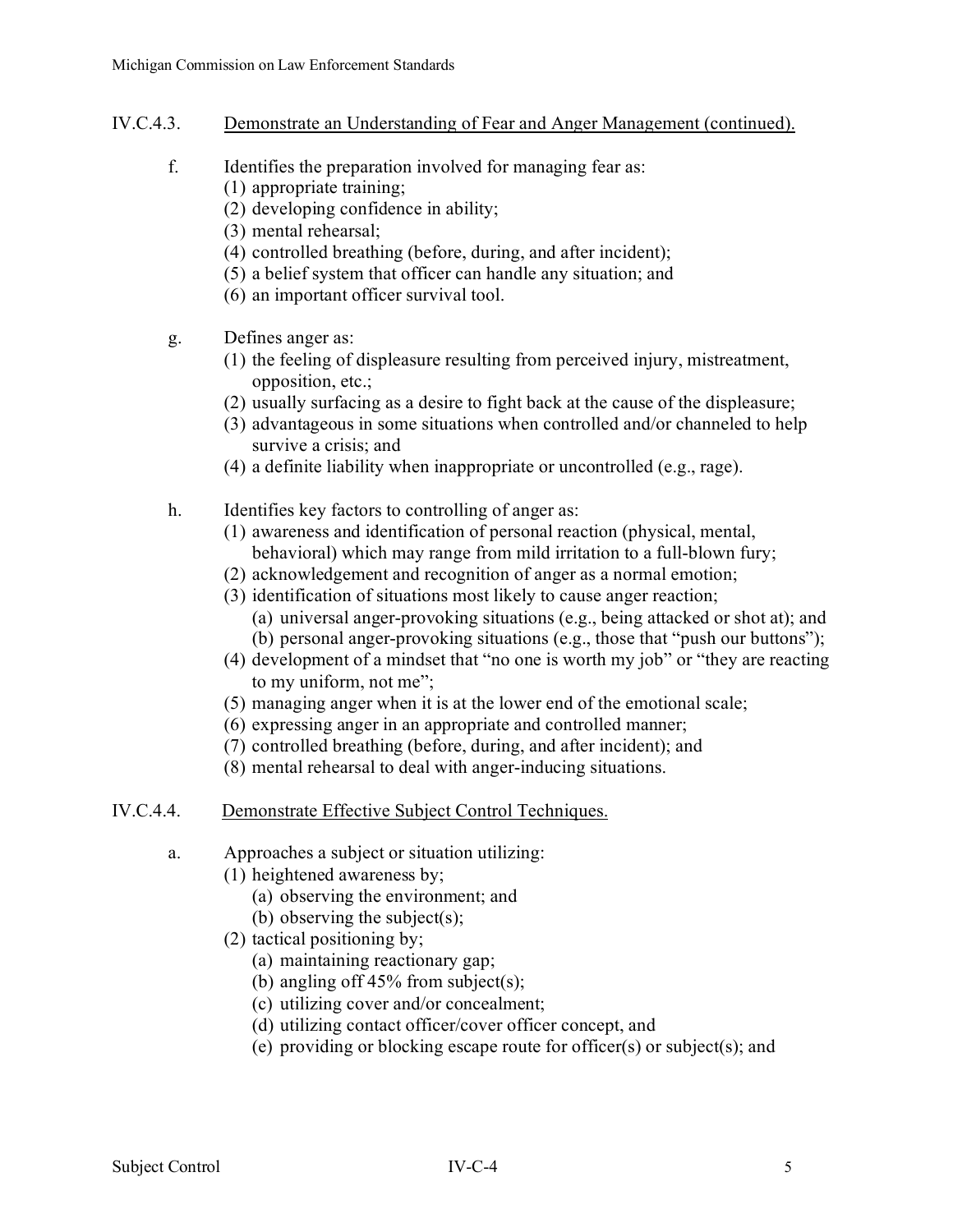- IV.C.4.3. Demonstrate an Understanding of Fear and Anger Management (continued).
	- f. Identifies the preparation involved for managing fear as:
		- (1) appropriate training;
			- (2) developing confidence in ability;
			- (3) mental rehearsal;
			- (4) controlled breathing (before, during, and after incident);
		- (5) a belief system that officer can handle any situation; and
		- (6) an important officer survival tool.
	- g. Defines anger as:
		- (1) the feeling of displeasure resulting from perceived injury, mistreatment, opposition, etc.;
		- (2) usually surfacing as a desire to fight back at the cause of the displeasure;
		- (3) advantageous in some situations when controlled and/or channeled to help survive a crisis; and
		- (4) a definite liability when inappropriate or uncontrolled (e.g., rage).
	- h. Identifies key factors to controlling of anger as:
		- (1) awareness and identification of personal reaction (physical, mental, behavioral) which may range from mild irritation to a full-blown fury;
		- (2) acknowledgement and recognition of anger as a normal emotion;
		- (3) identification of situations most likely to cause anger reaction;
			- (a) universal anger-provoking situations (e.g., being attacked or shot at); and
			- (b) personal anger-provoking situations (e.g., those that "push our buttons");
		- (4) development of a mindset that "no one is worth my job" or "they are reacting to my uniform, not me";
		- (5) managing anger when it is at the lower end of the emotional scale;
		- (6) expressing anger in an appropriate and controlled manner;
		- (7) controlled breathing (before, during, and after incident); and
		- (8) mental rehearsal to deal with anger-inducing situations.
- IV.C.4.4. Demonstrate Effective Subject Control Techniques.
	- a. Approaches a subject or situation utilizing:
		- (1) heightened awareness by;
			- (a) observing the environment; and
			- (b) observing the subject(s);
			- (2) tactical positioning by;
				- (a) maintaining reactionary gap;
				- (b) angling off  $45\%$  from subject(s);
				- (c) utilizing cover and/or concealment;
				- (d) utilizing contact officer/cover officer concept, and
				- (e) providing or blocking escape route for officer(s) or subject(s); and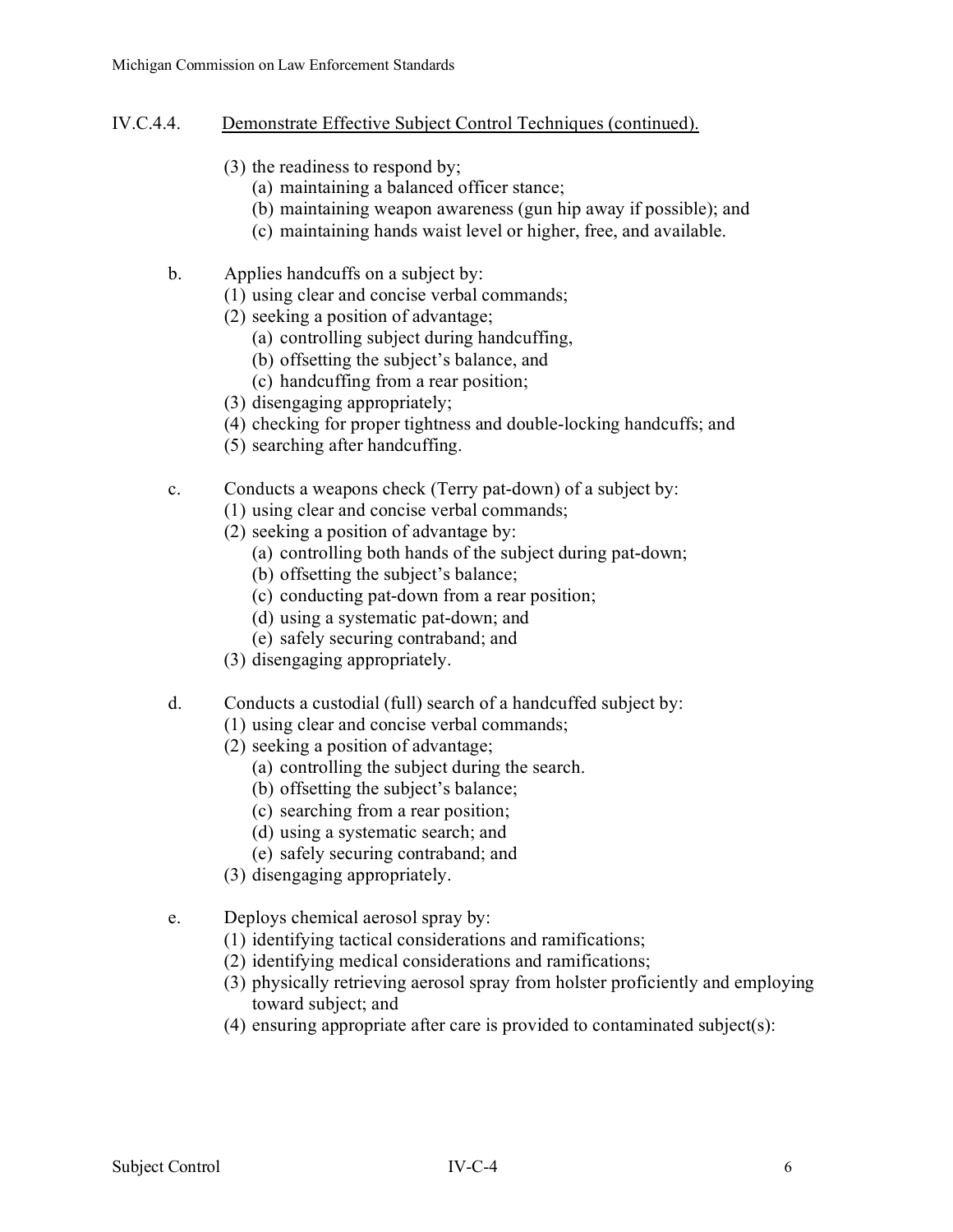- IV.C.4.4. Demonstrate Effective Subject Control Techniques (continued).
	- (3) the readiness to respond by;
		- (a) maintaining a balanced officer stance;
		- (b) maintaining weapon awareness (gun hip away if possible); and
		- (c) maintaining hands waist level or higher, free, and available.
	- b. Applies handcuffs on a subject by:
		- (1) using clear and concise verbal commands;
		- (2) seeking a position of advantage;
			- (a) controlling subject during handcuffing,
			- (b) offsetting the subject's balance, and
			- (c) handcuffing from a rear position;
		- (3) disengaging appropriately;
		- (4) checking for proper tightness and double-locking handcuffs; and
		- (5) searching after handcuffing.
	- c. Conducts a weapons check (Terry pat-down) of a subject by:
		- (1) using clear and concise verbal commands;
		- (2) seeking a position of advantage by:
			- (a) controlling both hands of the subject during pat-down;
			- (b) offsetting the subject's balance;
			- (c) conducting pat-down from a rear position;
			- (d) using a systematic pat-down; and
			- (e) safely securing contraband; and
		- (3) disengaging appropriately.
	- d. Conducts a custodial (full) search of a handcuffed subject by:
		- (1) using clear and concise verbal commands;
		- (2) seeking a position of advantage;
			- (a) controlling the subject during the search.
			- (b) offsetting the subject's balance;
			- (c) searching from a rear position;
			- (d) using a systematic search; and
			- (e) safely securing contraband; and
		- (3) disengaging appropriately.
	- e. Deploys chemical aerosol spray by:
		- (1) identifying tactical considerations and ramifications;
		- (2) identifying medical considerations and ramifications;
		- (3) physically retrieving aerosol spray from holster proficiently and employing toward subject; and
		- (4) ensuring appropriate after care is provided to contaminated subject(s):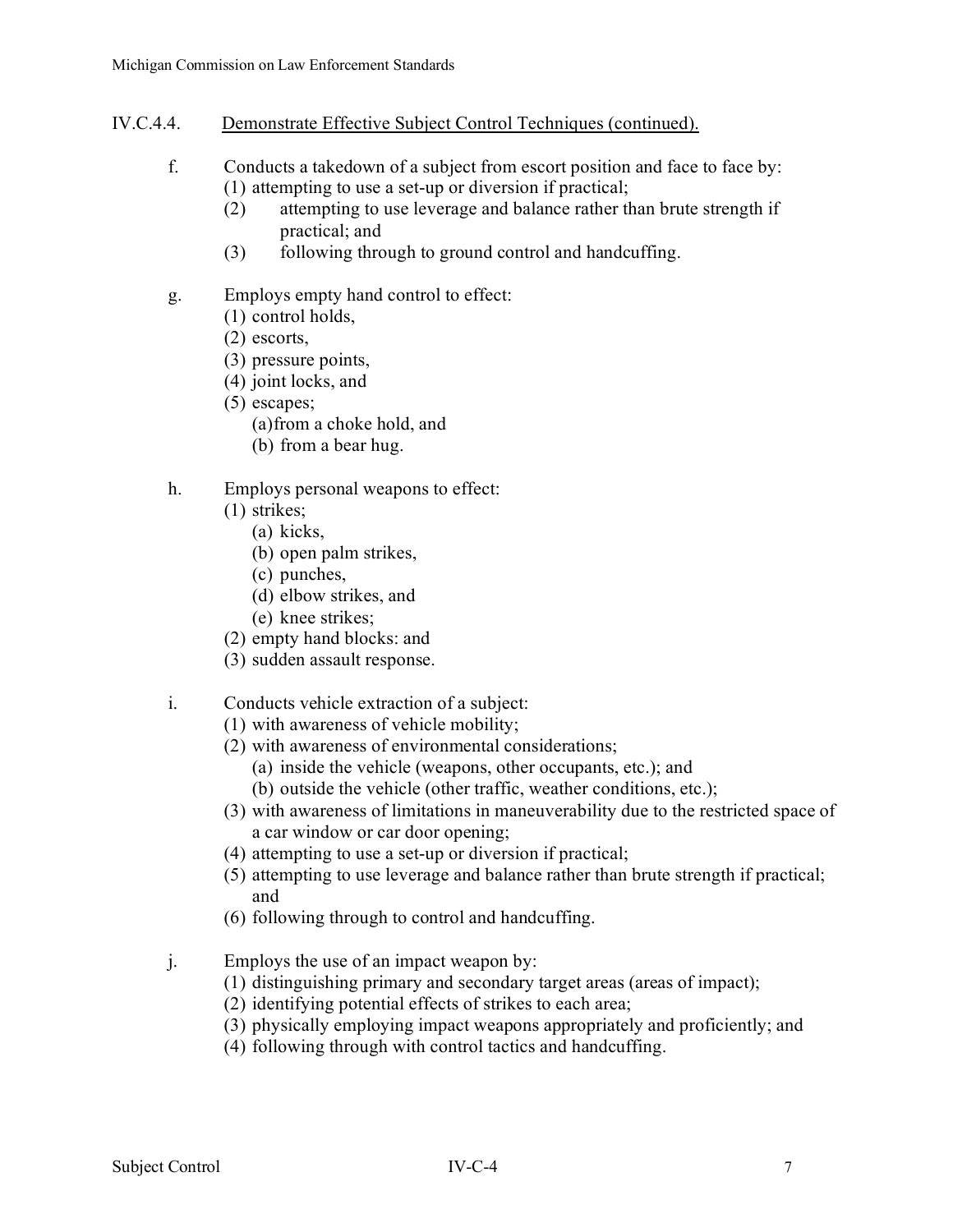- IV.C.4.4. Demonstrate Effective Subject Control Techniques (continued).
	- f. Conducts a takedown of a subject from escort position and face to face by: (1) attempting to use a set-up or diversion if practical;
		- (2) attempting to use leverage and balance rather than brute strength if practical; and
		- (3) following through to ground control and handcuffing.
	- g. Employs empty hand control to effect:
		- (1) control holds,
		- (2) escorts,
		- (3) pressure points,
		- (4) joint locks, and
		- (5) escapes;
			- (a)from a choke hold, and
			- (b) from a bear hug.

### h. Employs personal weapons to effect:

- (1) strikes;
	- (a) kicks,
	- (b) open palm strikes,
	- (c) punches,
	- (d) elbow strikes, and
	- (e) knee strikes;
- (2) empty hand blocks: and
- (3) sudden assault response.

# i. Conducts vehicle extraction of a subject:

- (1) with awareness of vehicle mobility;
- (2) with awareness of environmental considerations;
	- (a) inside the vehicle (weapons, other occupants, etc.); and
	- (b) outside the vehicle (other traffic, weather conditions, etc.);
- (3) with awareness of limitations in maneuverability due to the restricted space of a car window or car door opening;
- (4) attempting to use a set-up or diversion if practical;
- (5) attempting to use leverage and balance rather than brute strength if practical; and
- (6) following through to control and handcuffing.
- j. Employs the use of an impact weapon by:
	- (1) distinguishing primary and secondary target areas (areas of impact);
	- (2) identifying potential effects of strikes to each area;
	- (3) physically employing impact weapons appropriately and proficiently; and
	- (4) following through with control tactics and handcuffing.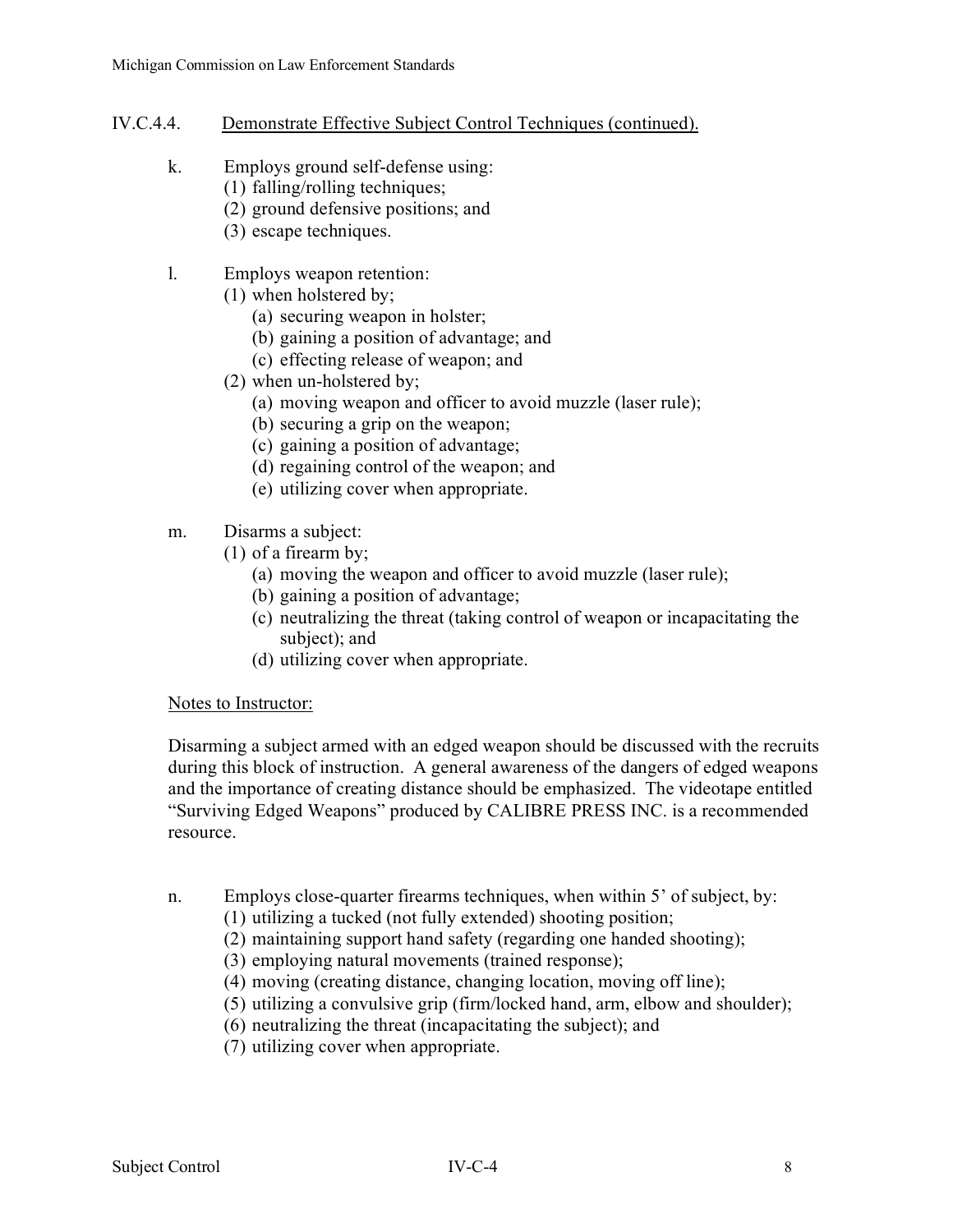## IV.C.4.4. Demonstrate Effective Subject Control Techniques (continued).

- k. Employs ground self-defense using:
	- (1) falling/rolling techniques;
		- (2) ground defensive positions; and
		- (3) escape techniques.
- l. Employs weapon retention:
	- (1) when holstered by;
		- (a) securing weapon in holster;
		- (b) gaining a position of advantage; and
		- (c) effecting release of weapon; and
	- (2) when un-holstered by;
		- (a) moving weapon and officer to avoid muzzle (laser rule);
		- (b) securing a grip on the weapon;
		- (c) gaining a position of advantage;
		- (d) regaining control of the weapon; and
		- (e) utilizing cover when appropriate.
- m. Disarms a subject:
	- (1) of a firearm by;
		- (a) moving the weapon and officer to avoid muzzle (laser rule);
		- (b) gaining a position of advantage;
		- (c) neutralizing the threat (taking control of weapon or incapacitating the subject); and
		- (d) utilizing cover when appropriate.

#### Notes to Instructor:

Disarming a subject armed with an edged weapon should be discussed with the recruits during this block of instruction. A general awareness of the dangers of edged weapons and the importance of creating distance should be emphasized. The videotape entitled "Surviving Edged Weapons" produced by CALIBRE PRESS INC. is a recommended resource.

- n. Employs close-quarter firearms techniques, when within 5' of subject, by:
	- (1) utilizing a tucked (not fully extended) shooting position;
	- (2) maintaining support hand safety (regarding one handed shooting);
	- (3) employing natural movements (trained response);
	- (4) moving (creating distance, changing location, moving off line);
	- (5) utilizing a convulsive grip (firm/locked hand, arm, elbow and shoulder);
	- (6) neutralizing the threat (incapacitating the subject); and
	- (7) utilizing cover when appropriate.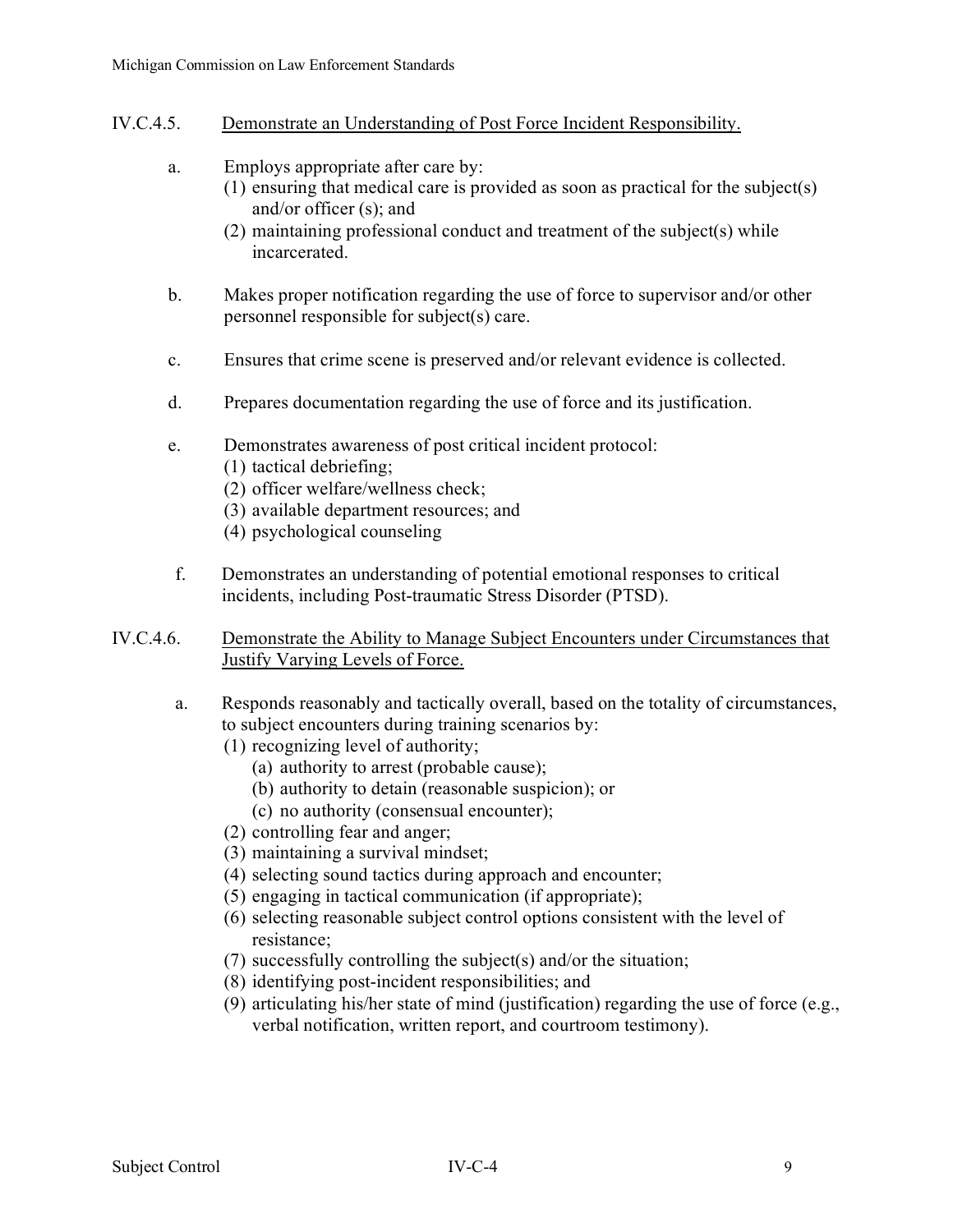### IV.C.4.5. Demonstrate an Understanding of Post Force Incident Responsibility.

- a. Employs appropriate after care by:
	- (1) ensuring that medical care is provided as soon as practical for the subject(s) and/or officer (s); and
		- (2) maintaining professional conduct and treatment of the subject(s) while incarcerated.
- b. Makes proper notification regarding the use of force to supervisor and/or other personnel responsible for subject(s) care.
- c. Ensures that crime scene is preserved and/or relevant evidence is collected.
- d. Prepares documentation regarding the use of force and its justification.
- e. Demonstrates awareness of post critical incident protocol:
	- (1) tactical debriefing;
	- (2) officer welfare/wellness check;
	- (3) available department resources; and
	- (4) psychological counseling
- f. Demonstrates an understanding of potential emotional responses to critical incidents, including Post-traumatic Stress Disorder (PTSD).
- IV.C.4.6. Demonstrate the Ability to Manage Subject Encounters under Circumstances that Justify Varying Levels of Force.
	- a. Responds reasonably and tactically overall, based on the totality of circumstances, to subject encounters during training scenarios by:
		- (1) recognizing level of authority;
			- (a) authority to arrest (probable cause);
			- (b) authority to detain (reasonable suspicion); or
			- (c) no authority (consensual encounter);
		- (2) controlling fear and anger;
		- (3) maintaining a survival mindset;
		- (4) selecting sound tactics during approach and encounter;
		- (5) engaging in tactical communication (if appropriate);
		- (6) selecting reasonable subject control options consistent with the level of resistance;
		- (7) successfully controlling the subject(s) and/or the situation;
		- (8) identifying post-incident responsibilities; and
		- (9) articulating his/her state of mind (justification) regarding the use of force (e.g., verbal notification, written report, and courtroom testimony).